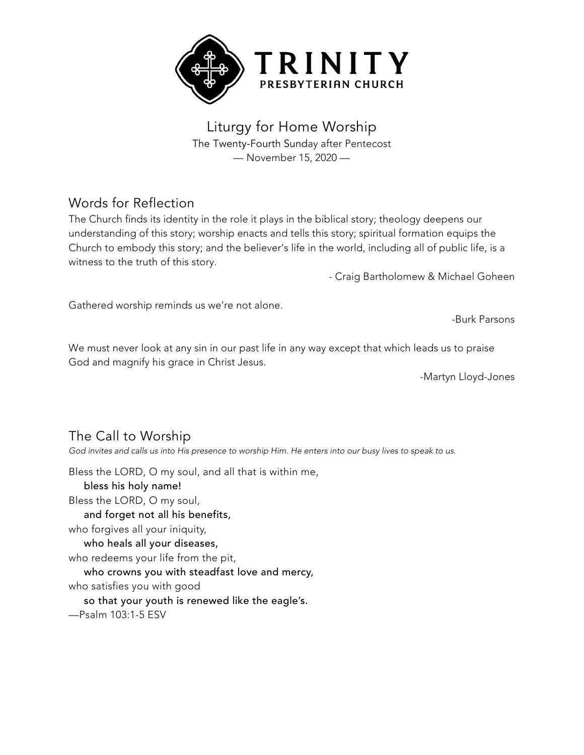

Liturgy for Home Worship The Twenty-Fourth Sunday after Pentecost — November 15, 2020 —

# Words for Reflection

The Church finds its identity in the role it plays in the biblical story; theology deepens our understanding of this story; worship enacts and tells this story; spiritual formation equips the Church to embody this story; and the believer's life in the world, including all of public life, is a witness to the truth of this story.

- Craig Bartholomew & Michael Goheen

Gathered worship reminds us we're not alone.

-Burk Parsons

We must never look at any sin in our past life in any way except that which leads us to praise God and magnify his grace in Christ Jesus.

-Martyn Lloyd-Jones

# The Call to Worship

God invites and calls us into His presence to worship Him. He enters into our busy lives to speak to us.

Bless the LORD, O my soul, and all that is within me,

bless his holy name!

Bless the LORD, O my soul,

and forget not all his benefits,

who forgives all your iniquity,

who heals all your diseases,

who redeems your life from the pit,

who crowns you with steadfast love and mercy,

who satisfies you with good

so that your youth is renewed like the eagle's.

—Psalm 103:1-5 ESV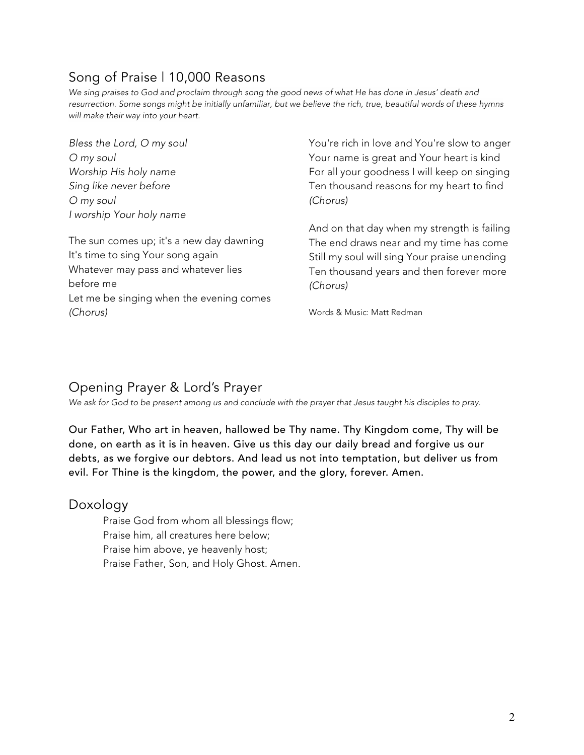# Song of Praise | 10,000 Reasons

We sing praises to God and proclaim through song the good news of what He has done in Jesus' death and resurrection. Some songs might be initially unfamiliar, but we believe the rich, true, beautiful words of these hymns *will make their way into your heart.*

| Bless the Lord, O my soul                | You're rich in love and You're slow to anger |
|------------------------------------------|----------------------------------------------|
| O my soul                                | Your name is great and Your heart is kind    |
| Worship His holy name                    | For all your goodness I will keep on singing |
| Sing like never before                   | Ten thousand reasons for my heart to find    |
| O my soul                                | (Chorus)                                     |
| I worship Your holy name                 |                                              |
|                                          | And on that day when my strength is failing  |
| The sun comes up; it's a new day dawning | The end draws near and my time has come      |
| It's time to sing Your song again        | Still my soul will sing Your praise unending |
| Whatever may pass and whatever lies      | Ten thousand years and then forever more     |
| before me                                | (Chorus)                                     |

Words & Music: Matt Redman

# Opening Prayer & Lord's Prayer

Let me be singing when the evening comes

*We ask for God to be present among us and conclude with the prayer that Jesus taught his disciples to pray.*

Our Father, Who art in heaven, hallowed be Thy name. Thy Kingdom come, Thy will be done, on earth as it is in heaven. Give us this day our daily bread and forgive us our debts, as we forgive our debtors. And lead us not into temptation, but deliver us from evil. For Thine is the kingdom, the power, and the glory, forever. Amen.

#### Doxology

*(Chorus)*

Praise God from whom all blessings flow; Praise him, all creatures here below; Praise him above, ye heavenly host; Praise Father, Son, and Holy Ghost. Amen.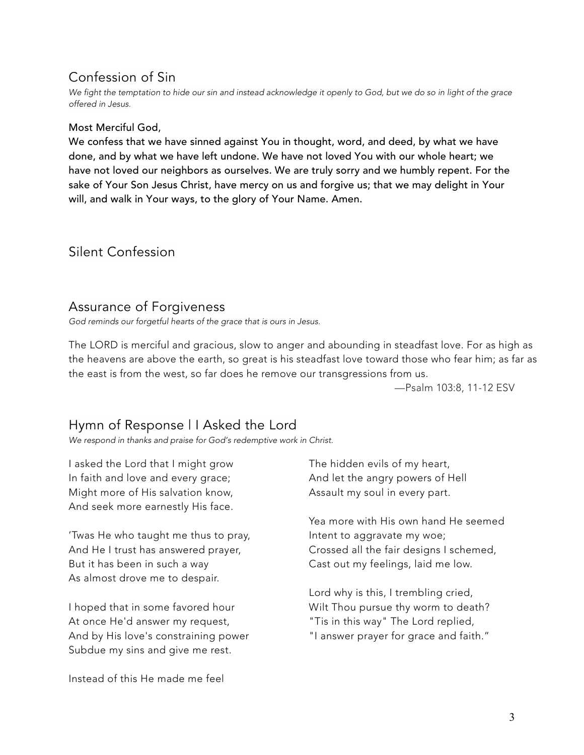# Confession of Sin

We fight the temptation to hide our sin and instead acknowledge it openly to God, but we do so in light of the grace *offered in Jesus.*

#### Most Merciful God,

We confess that we have sinned against You in thought, word, and deed, by what we have done, and by what we have left undone. We have not loved You with our whole heart; we have not loved our neighbors as ourselves. We are truly sorry and we humbly repent. For the sake of Your Son Jesus Christ, have mercy on us and forgive us; that we may delight in Your will, and walk in Your ways, to the glory of Your Name. Amen.

## Silent Confession

#### Assurance of Forgiveness

*God reminds our forgetful hearts of the grace that is ours in Jesus.*

The LORD is merciful and gracious, slow to anger and abounding in steadfast love. For as high as the heavens are above the earth, so great is his steadfast love toward those who fear him; as far as the east is from the west, so far does he remove our transgressions from us.

—Psalm 103:8, 11-12 ESV

# Hymn of Response | I Asked the Lord

*We respond in thanks and praise for God's redemptive work in Christ.*

I asked the Lord that I might grow In faith and love and every grace; Might more of His salvation know, And seek more earnestly His face.

'Twas He who taught me thus to pray, And He I trust has answered prayer, But it has been in such a way As almost drove me to despair.

I hoped that in some favored hour At once He'd answer my request, And by His love's constraining power Subdue my sins and give me rest.

Instead of this He made me feel

The hidden evils of my heart, And let the angry powers of Hell Assault my soul in every part.

Yea more with His own hand He seemed Intent to aggravate my woe; Crossed all the fair designs I schemed, Cast out my feelings, laid me low.

Lord why is this, I trembling cried, Wilt Thou pursue thy worm to death? "Tis in this way" The Lord replied, "I answer prayer for grace and faith."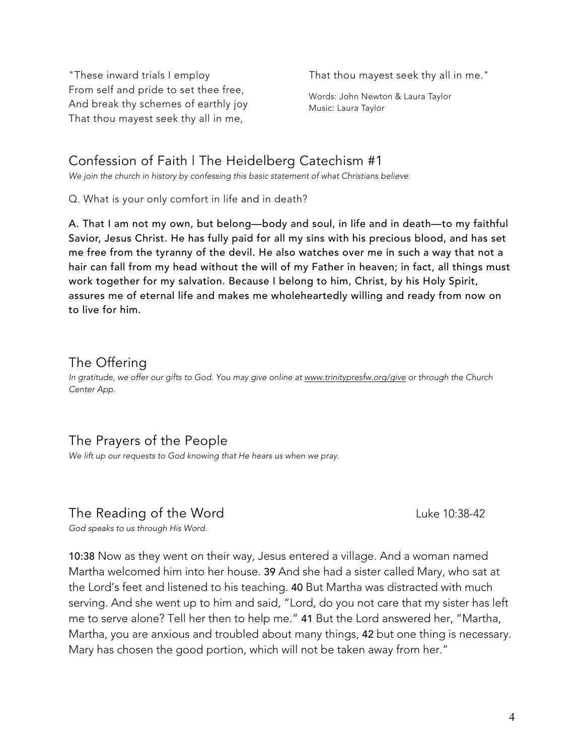"These inward trials I employ From self and pride to set thee free, And break thy schemes of earthly joy That thou mayest seek thy all in me,

That thou mayest seek thy all in me."

Words: John Newton & Laura Taylor Music: Laura Taylor

## Confession of Faith | The Heidelberg Catechism #1

*We join the church in history by confessing this basic statement of what Christians believe.*

Q. What is your only comfort in life and in death?

A. That I am not my own, but belong—body and soul, in life and in death—to my faithful Savior, Jesus Christ. He has fully paid for all my sins with his precious blood, and has set me free from the tyranny of the devil. He also watches over me in such a way that not a hair can fall from my head without the will of my Father in heaven; in fact, all things must work together for my salvation. Because I belong to him, Christ, by his Holy Spirit, assures me of eternal life and makes me wholeheartedly willing and ready from now on to live for him.

#### The Offering

*In gratitude, we offer our gifts to God. You may give online at www.trinitypresfw.org/give or through the Church Center App.*

# The Prayers of the People

*We lift up our requests to God knowing that He hears us when we pray.*

# The Reading of the Word **Luke 10:38-42**

*God speaks to us through His Word.*

10:38 Now as they went on their way, Jesus entered a village. And a woman named Martha welcomed him into her house. 39 And she had a sister called Mary, who sat at the Lord's feet and listened to his teaching. 40 But Martha was distracted with much serving. And she went up to him and said, "Lord, do you not care that my sister has left me to serve alone? Tell her then to help me." 41 But the Lord answered her, "Martha, Martha, you are anxious and troubled about many things, 42 but one thing is necessary. Mary has chosen the good portion, which will not be taken away from her."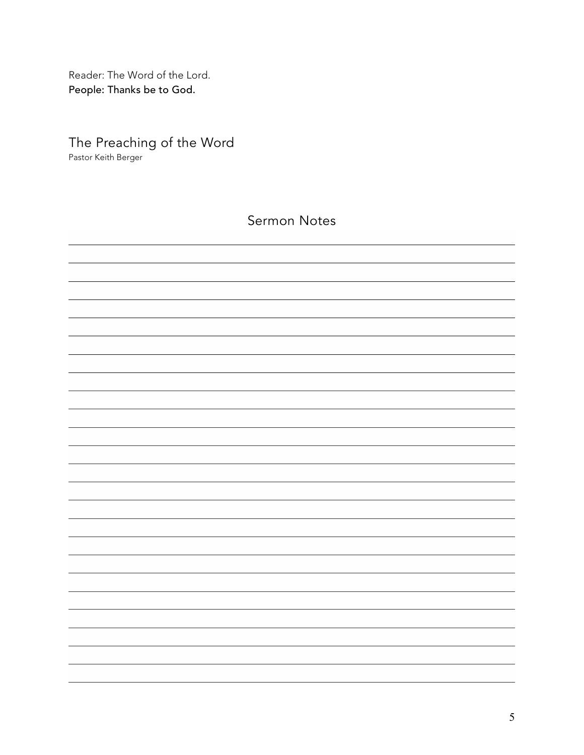Reader: The Word of the Lord. People: Thanks be to God.

The Preaching of the Word Pastor Keith Berger

# Sermon Notes,我们也不能在这里的时候,我们也不能在这里的时候,我们也不能会在这里的时候,我们也不能会在这里的时候,我们也不能会在这里的时候,我们也不能会在这里的时候,我们也不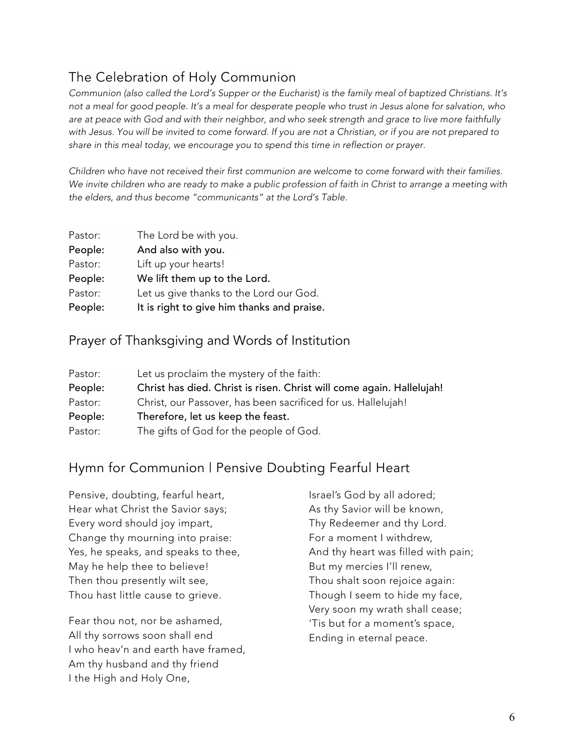# The Celebration of Holy Communion

Communion (also called the Lord's Supper or the Eucharist) is the family meal of baptized Christians. It's not a meal for good people. It's a meal for desperate people who trust in Jesus alone for salvation, who are at peace with God and with their neighbor, and who seek strength and grace to live more faithfully with Jesus. You will be invited to come forward. If you are not a Christian, or if you are not prepared to *share in this meal today, we encourage you to spend this time in reflection or prayer.*

*Children who have not received their first communion are welcome to come forward with their families.* We invite children who are ready to make a public profession of faith in Christ to arrange a meeting with *the elders, and thus become "communicants" at the Lord's Table.*

| Pastor: | The Lord be with you.                      |
|---------|--------------------------------------------|
| People: | And also with you.                         |
| Pastor: | Lift up your hearts!                       |
| People: | We lift them up to the Lord.               |
| Pastor: | Let us give thanks to the Lord our God.    |
| People: | It is right to give him thanks and praise. |

#### Prayer of Thanksgiving and Words of Institution

| Pastor: | Let us proclaim the mystery of the faith:                             |
|---------|-----------------------------------------------------------------------|
| People: | Christ has died. Christ is risen. Christ will come again. Hallelujah! |
| Pastor: | Christ, our Passover, has been sacrificed for us. Hallelujah!         |
| People: | Therefore, let us keep the feast.                                     |
| Pastor: | The gifts of God for the people of God.                               |

# Hymn for Communion | Pensive Doubting Fearful Heart

Pensive, doubting, fearful heart, Hear what Christ the Savior says; Every word should joy impart, Change thy mourning into praise: Yes, he speaks, and speaks to thee, May he help thee to believe! Then thou presently wilt see, Thou hast little cause to grieve.

Fear thou not, nor be ashamed, All thy sorrows soon shall end I who heav'n and earth have framed, Am thy husband and thy friend I the High and Holy One,

Israel's God by all adored; As thy Savior will be known, Thy Redeemer and thy Lord. For a moment I withdrew, And thy heart was filled with pain; But my mercies I'll renew, Thou shalt soon rejoice again: Though I seem to hide my face, Very soon my wrath shall cease; 'Tis but for a moment's space, Ending in eternal peace.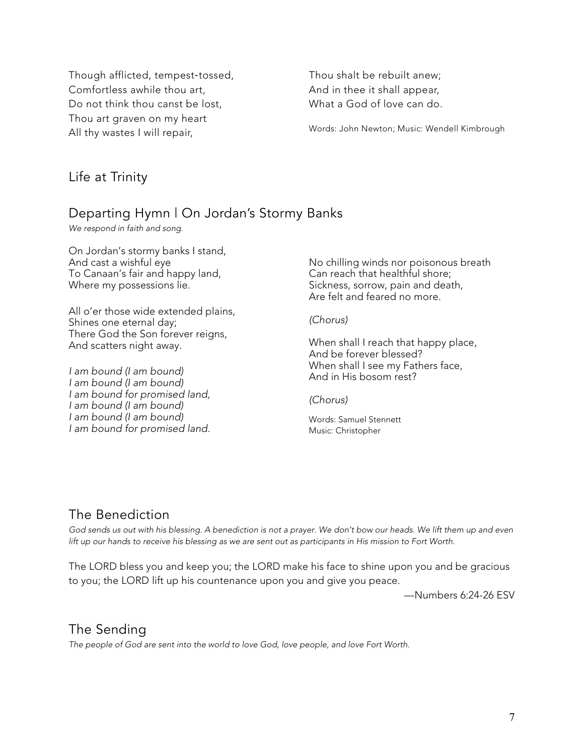Though afflicted, tempest-tossed, Comfortless awhile thou art, Do not think thou canst be lost, Thou art graven on my heart All thy wastes I will repair,

Thou shalt be rebuilt anew; And in thee it shall appear, What a God of love can do.

Words: John Newton; Music: Wendell Kimbrough

#### Life at Trinity

# Departing Hymn | On Jordan's Stormy Banks

*We respond in faith and song.*

On Jordan's stormy banks I stand, And cast a wishful eye To Canaan's fair and happy land, Where my possessions lie.

All o'er those wide extended plains, Shines one eternal day; There God the Son forever reigns, And scatters night away.

*I am bound (I am bound) I am bound (I am bound) I am bound for promised land, I am bound (I am bound) I am bound (I am bound) I am bound for promised land.* No chilling winds nor poisonous breath Can reach that healthful shore; Sickness, sorrow, pain and death, Are felt and feared no more.

#### *(Chorus)*

When shall I reach that happy place, And be forever blessed? When shall I see my Fathers face, And in His bosom rest?

*(Chorus)*

Words: Samuel Stennett Music: Christopher

# The Benediction

God sends us out with his blessing. A benediction is not a prayer. We don't bow our heads. We lift them up and even lift up our hands to receive his blessing as we are sent out as participants in His mission to Fort Worth.

The LORD bless you and keep you; the LORD make his face to shine upon you and be gracious to you; the LORD lift up his countenance upon you and give you peace.

—Numbers 6:24-26 ESV

#### The Sending

*The people of God are sent into the world to love God, love people, and love Fort Worth.*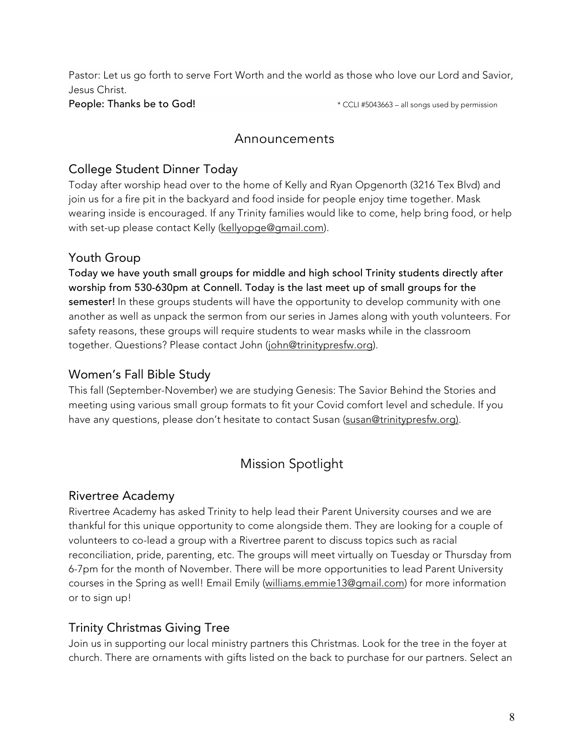Pastor: Let us go forth to serve Fort Worth and the world as those who love our Lord and Savior, Jesus Christ.

People: Thanks be to God! The state of the state of the state of the state of the state of the state of the state of the state of the state of the state of the state of the state of the state of the state of the state of t

## Announcements

## College Student Dinner Today

Today after worship head over to the home of Kelly and Ryan Opgenorth (3216 Tex Blvd) and join us for a fire pit in the backyard and food inside for people enjoy time together. Mask wearing inside is encouraged. If any Trinity families would like to come, help bring food, or help with set-up please contact Kelly (kellyopge@gmail.com).

# Youth Group

Today we have youth small groups for middle and high school Trinity students directly after worship from 530-630pm at Connell. Today is the last meet up of small groups for the semester! In these groups students will have the opportunity to develop community with one another as well as unpack the sermon from our series in James along with youth volunteers. For safety reasons, these groups will require students to wear masks while in the classroom together. Questions? Please contact John (john@trinitypresfw.org).

## Women's Fall Bible Study

This fall (September-November) we are studying Genesis: The Savior Behind the Stories and meeting using various small group formats to fit your Covid comfort level and schedule. If you have any questions, please don't hesitate to contact Susan (susan@trinitypresfw.org).

# Mission Spotlight

#### Rivertree Academy

Rivertree Academy has asked Trinity to help lead their Parent University courses and we are thankful for this unique opportunity to come alongside them. They are looking for a couple of volunteers to co-lead a group with a Rivertree parent to discuss topics such as racial reconciliation, pride, parenting, etc. The groups will meet virtually on Tuesday or Thursday from 6-7pm for the month of November. There will be more opportunities to lead Parent University courses in the Spring as well! Email Emily (williams.emmie13@gmail.com) for more information or to sign up!

# Trinity Christmas Giving Tree

Join us in supporting our local ministry partners this Christmas. Look for the tree in the foyer at church. There are ornaments with gifts listed on the back to purchase for our partners. Select an